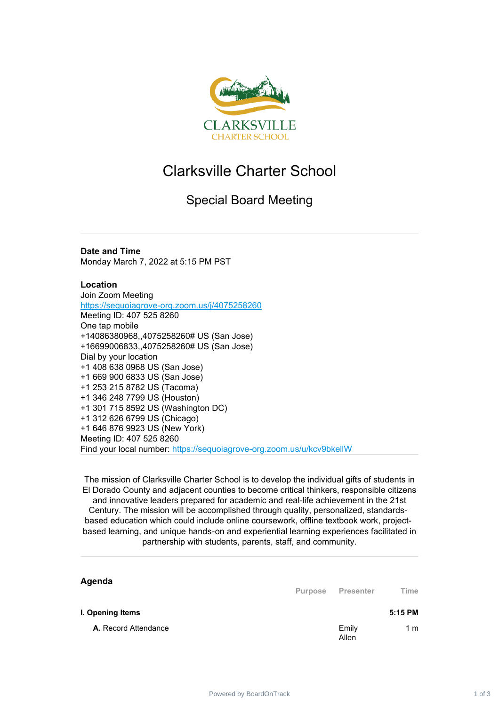

## Clarksville Charter School

## Special Board Meeting

**Date and Time** Monday March 7, 2022 at 5:15 PM PST

## **Location**

Join Zoom Meeting <https://sequoiagrove-org.zoom.us/j/4075258260> Meeting ID: 407 525 8260 One tap mobile +14086380968,,4075258260# US (San Jose) +16699006833,,4075258260# US (San Jose) Dial by your location +1 408 638 0968 US (San Jose) +1 669 900 6833 US (San Jose) +1 253 215 8782 US (Tacoma) +1 346 248 7799 US (Houston) +1 301 715 8592 US (Washington DC) +1 312 626 6799 US (Chicago) +1 646 876 9923 US (New York) Meeting ID: 407 525 8260 Find your local number: https://sequoiagrove-org.zoom.us/u/kcv9bkellW

The mission of Clarksville Charter School is to develop the individual gifts of students in El Dorado County and adjacent counties to become critical thinkers, responsible citizens and innovative leaders prepared for academic and real-life achievement in the 21st Century. The mission will be accomplished through quality, personalized, standardsbased education which could include online coursework, offline textbook work, projectbased learning, and unique hands‐on and experiential learning experiences facilitated in partnership with students, parents, staff, and community.

| Agenda                      | <b>Purpose</b> | Presenter      | Time    |
|-----------------------------|----------------|----------------|---------|
| I. Opening Items            |                |                | 5:15 PM |
| <b>A.</b> Record Attendance |                | Emily<br>Allen | 1 m     |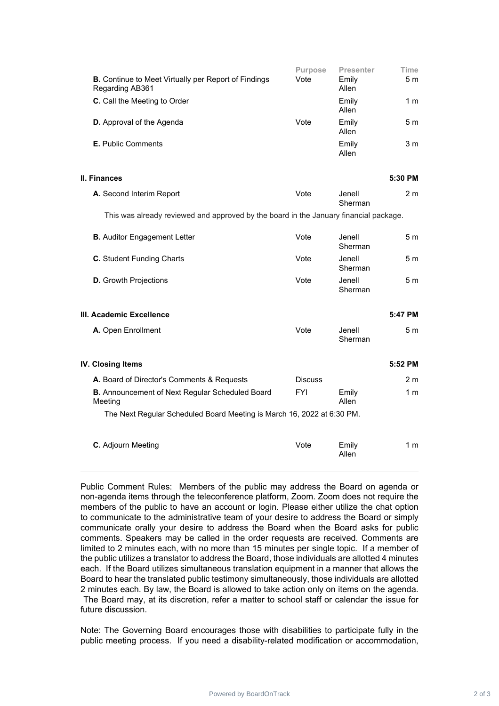| <b>B.</b> Continue to Meet Virtually per Report of Findings<br>Regarding AB361 | <b>Purpose</b><br>Vote | <b>Presenter</b><br>Emily<br>Allen | Time<br>5 m    |
|--------------------------------------------------------------------------------|------------------------|------------------------------------|----------------|
| <b>C.</b> Call the Meeting to Order                                            |                        | Emily<br>Allen                     | 1 m            |
| <b>D.</b> Approval of the Agenda                                               | Vote                   | Emily<br>Allen                     | 5 m            |
| <b>E.</b> Public Comments                                                      |                        | Emily<br>Allen                     | 3 <sub>m</sub> |

**II. Finances 5:30 PM**

| <b>A.</b> Second Interim Report | Vote | Jenell  | 2 m |
|---------------------------------|------|---------|-----|
|                                 |      | Sherman |     |

This was already reviewed and approved by the board in the January financial package.

| <b>B.</b> Auditor Engagement Letter | Vote | Jenell<br>Sherman | 5 m |
|-------------------------------------|------|-------------------|-----|
| <b>C.</b> Student Funding Charts    | Vote | Jenell<br>Sherman | 5 m |
| <b>D.</b> Growth Projections        | Vote | Jenell<br>Sherman | 5 m |

| III. Academic Excellence  |      |                   | 5:47 PM |
|---------------------------|------|-------------------|---------|
| <b>A.</b> Open Enrollment | Vote | Jenell<br>Sherman | 5 m     |

| IV. Closing Items                                                      |                |                | 5:52 PM        |
|------------------------------------------------------------------------|----------------|----------------|----------------|
| <b>A.</b> Board of Director's Comments & Requests                      | <b>Discuss</b> |                | 2 <sub>m</sub> |
| <b>B.</b> Announcement of Next Regular Scheduled Board<br>Meetina      | FYI            | Emily<br>Allen | 1 m            |
| The Next Regular Scheduled Board Meeting is March 16, 2022 at 6:30 PM. |                |                |                |
| <b>C.</b> Adjourn Meeting                                              | Vote           | Emily<br>Allen | 1 m            |

Public Comment Rules: Members of the public may address the Board on agenda or non-agenda items through the teleconference platform, Zoom. Zoom does not require the members of the public to have an account or login. Please either utilize the chat option to communicate to the administrative team of your desire to address the Board or simply communicate orally your desire to address the Board when the Board asks for public comments. Speakers may be called in the order requests are received. Comments are limited to 2 minutes each, with no more than 15 minutes per single topic. If a member of the public utilizes a translator to address the Board, those individuals are allotted 4 minutes each. If the Board utilizes simultaneous translation equipment in a manner that allows the Board to hear the translated public testimony simultaneously, those individuals are allotted 2 minutes each. By law, the Board is allowed to take action only on items on the agenda. The Board may, at its discretion, refer a matter to school staff or calendar the issue for future discussion.

Note: The Governing Board encourages those with disabilities to participate fully in the public meeting process. If you need a disability-related modification or accommodation,